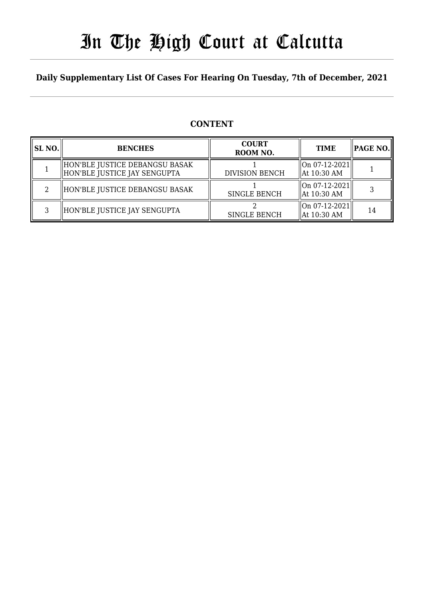# In The High Court at Calcutta

### **Daily Supplementary List Of Cases For Hearing On Tuesday, 7th of December, 2021**

### **CONTENT**

| SL NO. | <b>BENCHES</b>                                                  | <b>COURT</b><br>ROOM NO. | <b>TIME</b>                      | PAGE NO. |
|--------|-----------------------------------------------------------------|--------------------------|----------------------------------|----------|
|        | HON'BLE JUSTICE DEBANGSU BASAK <br>HON'BLE JUSTICE JAY SENGUPTA | <b>DIVISION BENCH</b>    | On 07-12-2021  <br>  At 10:30 AM |          |
| റ      | HON'BLE JUSTICE DEBANGSU BASAK                                  | <b>SINGLE BENCH</b>      | On 07-12-2021  <br>  At 10:30 AM |          |
| ς      | HON'BLE JUSTICE JAY SENGUPTA                                    | <b>SINGLE BENCH</b>      | On 07-12-2021  <br>  At 10:30 AM | 14       |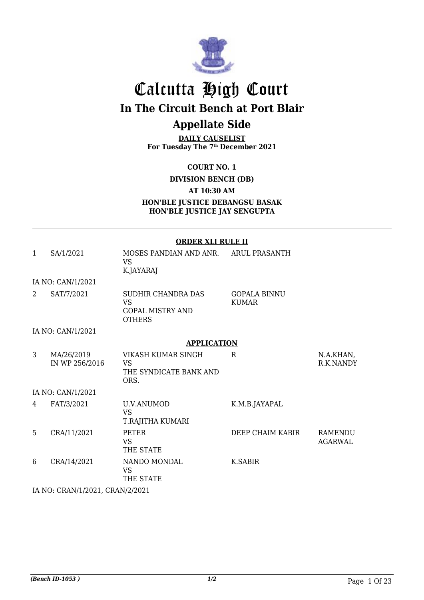

## Calcutta High Court **In The Circuit Bench at Port Blair Appellate Side**

**DAILY CAUSELIST For Tuesday The 7th December 2021**

**COURT NO. 1**

**DIVISION BENCH (DB)**

**AT 10:30 AM**

**HON'BLE JUSTICE DEBANGSU BASAK HON'BLE JUSTICE JAY SENGUPTA**

|   | <b>ORDER XLI RULE II</b>     |                                                                             |                                     |                                  |
|---|------------------------------|-----------------------------------------------------------------------------|-------------------------------------|----------------------------------|
| 1 | SA/1/2021                    | MOSES PANDIAN AND ANR. ARUL PRASANTH<br><b>VS</b><br>K.JAYARAJ              |                                     |                                  |
|   | IA NO: CAN/1/2021            |                                                                             |                                     |                                  |
| 2 | SAT/7/2021                   | SUDHIR CHANDRA DAS<br><b>VS</b><br><b>GOPAL MISTRY AND</b><br><b>OTHERS</b> | <b>GOPALA BINNU</b><br><b>KUMAR</b> |                                  |
|   | IA NO: CAN/1/2021            |                                                                             |                                     |                                  |
|   |                              | <b>APPLICATION</b>                                                          |                                     |                                  |
| 3 | MA/26/2019<br>IN WP 256/2016 | VIKASH KUMAR SINGH<br>VS.<br>THE SYNDICATE BANK AND<br>ORS.                 | R.                                  | N.A.KHAN,<br>R.K.NANDY           |
|   | IA NO: CAN/1/2021            |                                                                             |                                     |                                  |
| 4 | FAT/3/2021                   | <b>U.V.ANUMOD</b><br><b>VS</b><br>T.RAJITHA KUMARI                          | K.M.B.JAYAPAL                       |                                  |
| 5 | CRA/11/2021                  | <b>PETER</b><br><b>VS</b><br>THE STATE                                      | DEEP CHAIM KABIR                    | <b>RAMENDU</b><br><b>AGARWAL</b> |
| 6 | CRA/14/2021                  | NANDO MONDAL<br><b>VS</b><br>THE STATE                                      | K.SABIR                             |                                  |

IA NO: CRAN/1/2021, CRAN/2/2021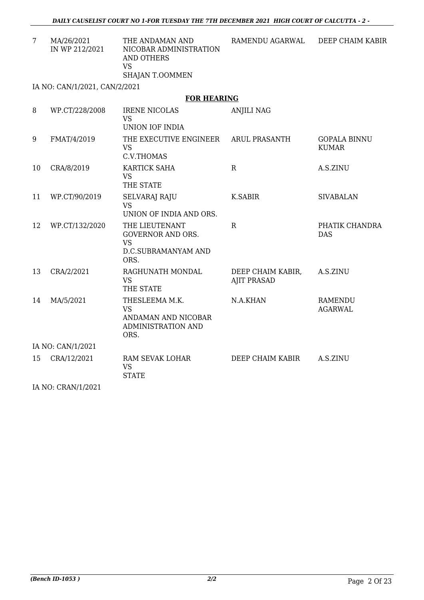| MA/26/2021<br>IN WP 212/2021  | THE ANDAMAN AND<br>NICOBAR ADMINISTRATION<br>AND OTHERS<br>VS<br>SHAJAN T.OOMMEN | RAMENDU AGARWAL | DEEP CHAIM KABIR |  |
|-------------------------------|----------------------------------------------------------------------------------|-----------------|------------------|--|
| IA NO: CAN/1/2021. CAN/2/2021 |                                                                                  |                 |                  |  |

#### **FOR HEARING**

| 8  | WP.CT/228/2008    | <b>IRENE NICOLAS</b><br><b>VS</b><br>UNION IOF INDIA                                   | <b>ANJILI NAG</b>                       |                                     |  |  |
|----|-------------------|----------------------------------------------------------------------------------------|-----------------------------------------|-------------------------------------|--|--|
| 9  | FMAT/4/2019       | THE EXECUTIVE ENGINEER<br><b>VS</b><br>C.V.THOMAS                                      | <b>ARUL PRASANTH</b>                    | <b>GOPALA BINNU</b><br><b>KUMAR</b> |  |  |
| 10 | CRA/8/2019        | <b>KARTICK SAHA</b><br><b>VS</b><br>THE STATE                                          | $\mathbf R$                             | A.S.ZINU                            |  |  |
| 11 | WP.CT/90/2019     | <b>SELVARAJ RAJU</b><br><b>VS</b><br>UNION OF INDIA AND ORS.                           | K.SABIR                                 | <b>SIVABALAN</b>                    |  |  |
| 12 | WP.CT/132/2020    | THE LIEUTENANT<br><b>GOVERNOR AND ORS.</b><br><b>VS</b><br>D.C.SUBRAMANYAM AND<br>ORS. | $\mathbf R$                             | PHATIK CHANDRA<br><b>DAS</b>        |  |  |
| 13 | CRA/2/2021        | RAGHUNATH MONDAL<br><b>VS</b><br>THE STATE                                             | DEEP CHAIM KABIR,<br><b>AJIT PRASAD</b> | A.S.ZINU                            |  |  |
| 14 | MA/5/2021         | THESLEEMA M.K.<br><b>VS</b><br>ANDAMAN AND NICOBAR<br>ADMINISTRATION AND<br>ORS.       | N.A.KHAN                                | <b>RAMENDU</b><br><b>AGARWAL</b>    |  |  |
|    | IA NO: CAN/1/2021 |                                                                                        |                                         |                                     |  |  |
| 15 | CRA/12/2021       | RAM SEVAK LOHAR<br><b>VS</b><br><b>STATE</b>                                           | DEEP CHAIM KABIR                        | A.S.ZINU                            |  |  |

IA NO: CRAN/1/2021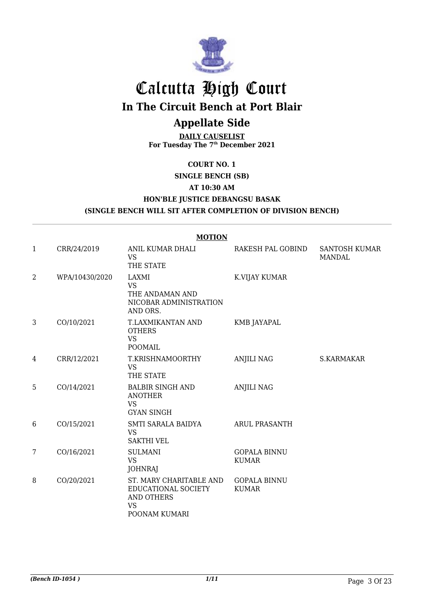

## Calcutta High Court

**In The Circuit Bench at Port Blair**

## **Appellate Side**

**DAILY CAUSELIST For Tuesday The 7th December 2021**

#### **COURT NO. 1**

**SINGLE BENCH (SB)**

#### **AT 10:30 AM**

**HON'BLE JUSTICE DEBANGSU BASAK**

**(SINGLE BENCH WILL SIT AFTER COMPLETION OF DIVISION BENCH)**

|                |                | <b>MOTION</b>                                                                                     |                                     |                                       |
|----------------|----------------|---------------------------------------------------------------------------------------------------|-------------------------------------|---------------------------------------|
| 1              | CRR/24/2019    | ANIL KUMAR DHALI<br><b>VS</b><br>THE STATE                                                        | RAKESH PAL GOBIND                   | <b>SANTOSH KUMAR</b><br><b>MANDAL</b> |
| $\overline{2}$ | WPA/10430/2020 | LAXMI<br><b>VS</b><br>THE ANDAMAN AND<br>NICOBAR ADMINISTRATION<br>AND ORS.                       | K.VIJAY KUMAR                       |                                       |
| 3              | CO/10/2021     | T.LAXMIKANTAN AND<br><b>OTHERS</b><br><b>VS</b><br><b>POOMAIL</b>                                 | <b>KMB JAYAPAL</b>                  |                                       |
| 4              | CRR/12/2021    | T.KRISHNAMOORTHY<br><b>VS</b><br>THE STATE                                                        | <b>ANJILI NAG</b>                   | S.KARMAKAR                            |
| 5              | CO/14/2021     | <b>BALBIR SINGH AND</b><br><b>ANOTHER</b><br><b>VS</b><br><b>GYAN SINGH</b>                       | <b>ANJILI NAG</b>                   |                                       |
| 6              | CO/15/2021     | SMTI SARALA BAIDYA<br><b>VS</b><br><b>SAKTHI VEL</b>                                              | <b>ARUL PRASANTH</b>                |                                       |
| 7              | CO/16/2021     | <b>SULMANI</b><br><b>VS</b><br><b>JOHNRAJ</b>                                                     | <b>GOPALA BINNU</b><br><b>KUMAR</b> |                                       |
| 8              | CO/20/2021     | ST. MARY CHARITABLE AND<br>EDUCATIONAL SOCIETY<br><b>AND OTHERS</b><br><b>VS</b><br>POONAM KUMARI | <b>GOPALA BINNU</b><br><b>KUMAR</b> |                                       |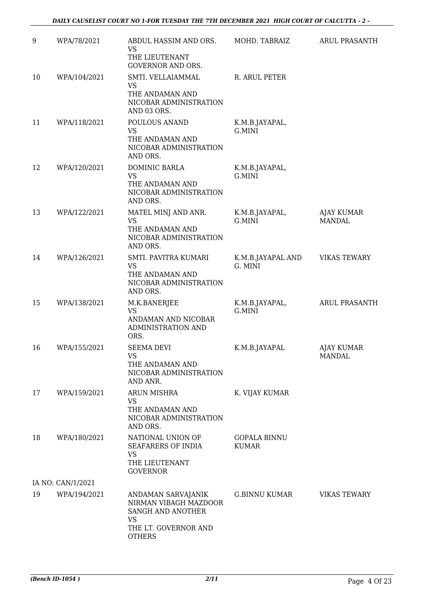| 9  | WPA/78/2021       | ABDUL HASSIM AND ORS.<br><b>VS</b><br>THE LIEUTENANT<br><b>GOVERNOR AND ORS.</b>                                       | MOHD. TABRAIZ                | <b>ARUL PRASANTH</b>               |
|----|-------------------|------------------------------------------------------------------------------------------------------------------------|------------------------------|------------------------------------|
| 10 | WPA/104/2021      | SMTI. VELLAIAMMAL<br>VS<br>THE ANDAMAN AND<br>NICOBAR ADMINISTRATION<br>AND 03 ORS.                                    | R. ARUL PETER                |                                    |
| 11 | WPA/118/2021      | POULOUS ANAND<br><b>VS</b><br>THE ANDAMAN AND<br>NICOBAR ADMINISTRATION<br>AND ORS.                                    | K.M.B.JAYAPAL,<br>G.MINI     |                                    |
| 12 | WPA/120/2021      | DOMINIC BARLA<br><b>VS</b><br>THE ANDAMAN AND<br>NICOBAR ADMINISTRATION<br>AND ORS.                                    | K.M.B.JAYAPAL,<br>G.MINI     |                                    |
| 13 | WPA/122/2021      | MATEL MINJ AND ANR.<br><b>VS</b><br>THE ANDAMAN AND<br>NICOBAR ADMINISTRATION<br>AND ORS.                              | K.M.B.JAYAPAL,<br>G.MINI     | AJAY KUMAR<br>MANDAL               |
| 14 | WPA/126/2021      | SMTI. PAVITRA KUMARI<br><b>VS</b><br>THE ANDAMAN AND<br>NICOBAR ADMINISTRATION<br>AND ORS.                             | K.M.B.JAYAPAL AND<br>G. MINI | <b>VIKAS TEWARY</b>                |
| 15 | WPA/138/2021      | M.K.BANERJEE<br><b>VS</b><br>ANDAMAN AND NICOBAR<br>ADMINISTRATION AND<br>ORS.                                         | K.M.B.JAYAPAL,<br>G.MINI     | ARUL PRASANTH                      |
| 16 | WPA/155/2021      | <b>SEEMA DEVI</b><br><b>VS</b><br>THE ANDAMAN AND<br>NICOBAR ADMINISTRATION<br>AND ANR.                                | K.M.B.JAYAPAL                | <b>AJAY KUMAR</b><br><b>MANDAL</b> |
| 17 | WPA/159/2021      | <b>ARUN MISHRA</b><br><b>VS</b><br>THE ANDAMAN AND<br>NICOBAR ADMINISTRATION<br>AND ORS.                               | K. VIJAY KUMAR               |                                    |
| 18 | WPA/180/2021      | NATIONAL UNION OF<br>SEAFARERS OF INDIA<br><b>VS</b><br>THE LIEUTENANT<br><b>GOVERNOR</b>                              | <b>GOPALA BINNU</b><br>KUMAR |                                    |
|    | IA NO: CAN/1/2021 |                                                                                                                        |                              |                                    |
| 19 | WPA/194/2021      | ANDAMAN SARVAJANIK<br>NIRMAN VIBAGH MAZDOOR<br>SANGH AND ANOTHER<br><b>VS</b><br>THE LT. GOVERNOR AND<br><b>OTHERS</b> | G.BINNU KUMAR                | <b>VIKAS TEWARY</b>                |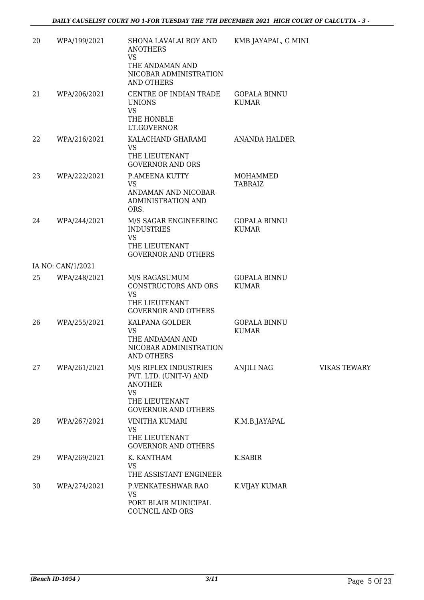| 20 | WPA/199/2021      | SHONA LAVALAI ROY AND<br><b>ANOTHERS</b><br><b>VS</b><br>THE ANDAMAN AND<br>NICOBAR ADMINISTRATION<br><b>AND OTHERS</b>        | KMB JAYAPAL, G MINI                 |                     |
|----|-------------------|--------------------------------------------------------------------------------------------------------------------------------|-------------------------------------|---------------------|
| 21 | WPA/206/2021      | CENTRE OF INDIAN TRADE<br><b>UNIONS</b><br><b>VS</b><br>THE HONBLE                                                             | <b>GOPALA BINNU</b><br><b>KUMAR</b> |                     |
|    |                   | LT.GOVERNOR                                                                                                                    |                                     |                     |
| 22 | WPA/216/2021      | KALACHAND GHARAMI<br><b>VS</b><br>THE LIEUTENANT<br><b>GOVERNOR AND ORS</b>                                                    | ANANDA HALDER                       |                     |
| 23 | WPA/222/2021      | <b>P.AMEENA KUTTY</b><br><b>VS</b><br>ANDAMAN AND NICOBAR<br><b>ADMINISTRATION AND</b><br>ORS.                                 | MOHAMMED<br><b>TABRAIZ</b>          |                     |
| 24 | WPA/244/2021      | M/S SAGAR ENGINEERING<br><b>INDUSTRIES</b><br><b>VS</b><br>THE LIEUTENANT<br><b>GOVERNOR AND OTHERS</b>                        | <b>GOPALA BINNU</b><br><b>KUMAR</b> |                     |
|    | IA NO: CAN/1/2021 |                                                                                                                                |                                     |                     |
| 25 | WPA/248/2021      | M/S RAGASUMUM<br>CONSTRUCTORS AND ORS<br><b>VS</b><br>THE LIEUTENANT<br><b>GOVERNOR AND OTHERS</b>                             | <b>GOPALA BINNU</b><br><b>KUMAR</b> |                     |
| 26 | WPA/255/2021      | KALPANA GOLDER<br><b>VS</b><br>THE ANDAMAN AND<br>NICOBAR ADMINISTRATION<br><b>AND OTHERS</b>                                  | <b>GOPALA BINNU</b><br><b>KUMAR</b> |                     |
| 27 | WPA/261/2021      | M/S RIFLEX INDUSTRIES<br>PVT. LTD. (UNIT-V) AND<br><b>ANOTHER</b><br><b>VS</b><br>THE LIEUTENANT<br><b>GOVERNOR AND OTHERS</b> | ANJILI NAG                          | <b>VIKAS TEWARY</b> |
| 28 | WPA/267/2021      | <b>VINITHA KUMARI</b><br><b>VS</b><br>THE LIEUTENANT<br><b>GOVERNOR AND OTHERS</b>                                             | K.M.B.JAYAPAL                       |                     |
| 29 | WPA/269/2021      | K. KANTHAM<br><b>VS</b>                                                                                                        | K.SABIR                             |                     |
| 30 | WPA/274/2021      | THE ASSISTANT ENGINEER<br>P.VENKATESHWAR RAO<br><b>VS</b><br>PORT BLAIR MUNICIPAL<br>COUNCIL AND ORS                           | K.VIJAY KUMAR                       |                     |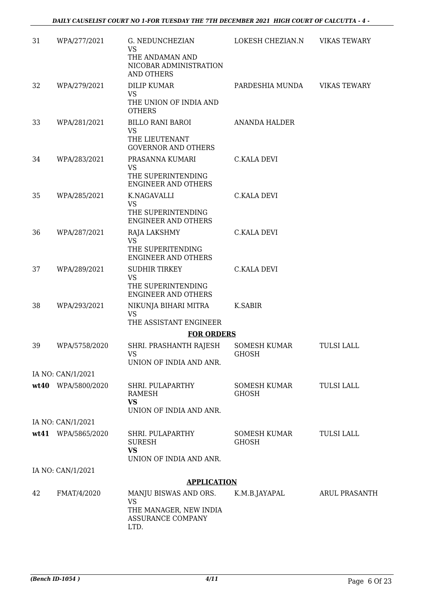| 31 | WPA/277/2021       | G. NEDUNCHEZIAN<br><b>VS</b>                                                                     | LOKESH CHEZIAN.N             | <b>VIKAS TEWARY</b>  |
|----|--------------------|--------------------------------------------------------------------------------------------------|------------------------------|----------------------|
|    |                    | THE ANDAMAN AND<br>NICOBAR ADMINISTRATION<br>AND OTHERS                                          |                              |                      |
| 32 | WPA/279/2021       | <b>DILIP KUMAR</b>                                                                               | PARDESHIA MUNDA              | <b>VIKAS TEWARY</b>  |
|    |                    | <b>VS</b><br>THE UNION OF INDIA AND<br><b>OTHERS</b>                                             |                              |                      |
| 33 | WPA/281/2021       | <b>BILLO RANI BAROI</b><br><b>VS</b>                                                             | <b>ANANDA HALDER</b>         |                      |
|    |                    | THE LIEUTENANT<br><b>GOVERNOR AND OTHERS</b>                                                     |                              |                      |
| 34 | WPA/283/2021       | PRASANNA KUMARI<br>VS                                                                            | <b>C.KALA DEVI</b>           |                      |
|    |                    | THE SUPERINTENDING<br><b>ENGINEER AND OTHERS</b>                                                 |                              |                      |
| 35 | WPA/285/2021       | K.NAGAVALLI<br><b>VS</b><br>THE SUPERINTENDING                                                   | C.KALA DEVI                  |                      |
| 36 | WPA/287/2021       | ENGINEER AND OTHERS<br>RAJA LAKSHMY                                                              | <b>C.KALA DEVI</b>           |                      |
|    |                    | <b>VS</b><br>THE SUPERITENDING<br><b>ENGINEER AND OTHERS</b>                                     |                              |                      |
| 37 | WPA/289/2021       | <b>SUDHIR TIRKEY</b><br><b>VS</b><br>THE SUPERINTENDING<br><b>ENGINEER AND OTHERS</b>            | <b>C.KALA DEVI</b>           |                      |
| 38 | WPA/293/2021       | NIKUNJA BIHARI MITRA<br><b>VS</b>                                                                | K.SABIR                      |                      |
|    |                    | THE ASSISTANT ENGINEER<br><b>FOR ORDERS</b>                                                      |                              |                      |
| 39 | WPA/5758/2020      | SHRI. PRASHANTH RAJESH                                                                           | <b>SOMESH KUMAR</b>          | <b>TULSI LALL</b>    |
|    |                    | <b>VS</b><br>UNION OF INDIA AND ANR.                                                             | GHOSH                        |                      |
|    | IA NO: CAN/1/2021  |                                                                                                  |                              |                      |
|    | wt40 WPA/5800/2020 | SHRI. PULAPARTHY<br>RAMESH<br><b>VS</b>                                                          | SOMESH KUMAR<br><b>GHOSH</b> | <b>TULSI LALL</b>    |
|    |                    | UNION OF INDIA AND ANR.                                                                          |                              |                      |
|    | IA NO: CAN/1/2021  |                                                                                                  |                              |                      |
|    | wt41 WPA/5865/2020 | SHRI. PULAPARTHY<br><b>SURESH</b><br><b>VS</b><br>UNION OF INDIA AND ANR.                        | SOMESH KUMAR<br><b>GHOSH</b> | <b>TULSI LALL</b>    |
|    | IA NO: CAN/1/2021  |                                                                                                  |                              |                      |
|    |                    | <b>APPLICATION</b>                                                                               |                              |                      |
| 42 | FMAT/4/2020        | MANJU BISWAS AND ORS.<br><b>VS</b><br>THE MANAGER, NEW INDIA<br><b>ASSURANCE COMPANY</b><br>LTD. | K.M.B.JAYAPAL                | <b>ARUL PRASANTH</b> |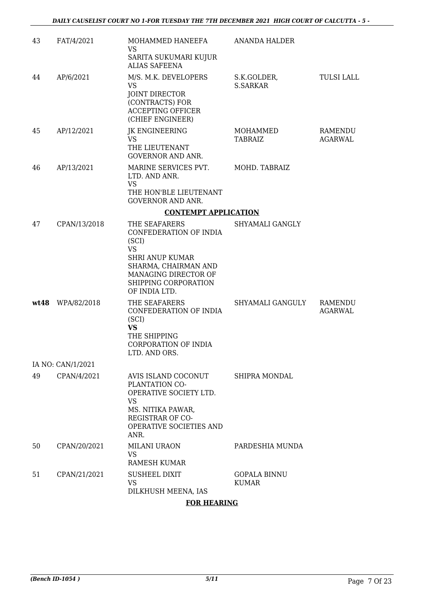| 43 | FAT/4/2021        | MOHAMMED HANEEFA<br><b>VS</b><br>SARITA SUKUMARI KUJUR                                                                                                                           | <b>ANANDA HALDER</b>                |                    |
|----|-------------------|----------------------------------------------------------------------------------------------------------------------------------------------------------------------------------|-------------------------------------|--------------------|
| 44 | AP/6/2021         | <b>ALIAS SAFEENA</b><br>M/S. M.K. DEVELOPERS<br><b>VS</b><br>JOINT DIRECTOR<br>(CONTRACTS) FOR<br><b>ACCEPTING OFFICER</b><br>(CHIEF ENGINEER)                                   | S.K.GOLDER,<br>S.SARKAR             | <b>TULSI LALL</b>  |
| 45 | AP/12/2021        | JK ENGINEERING<br><b>VS</b><br>THE LIEUTENANT<br><b>GOVERNOR AND ANR.</b>                                                                                                        | MOHAMMED<br><b>TABRAIZ</b>          | RAMENDU<br>AGARWAL |
| 46 | AP/13/2021        | MARINE SERVICES PVT.<br>LTD. AND ANR.<br><b>VS</b><br>THE HON'BLE LIEUTENANT<br><b>GOVERNOR AND ANR.</b>                                                                         | MOHD. TABRAIZ                       |                    |
|    |                   | <b>CONTEMPT APPLICATION</b>                                                                                                                                                      |                                     |                    |
| 47 | CPAN/13/2018      | THE SEAFARERS<br>CONFEDERATION OF INDIA<br>(SCI)<br><b>VS</b><br><b>SHRI ANUP KUMAR</b><br>SHARMA, CHAIRMAN AND<br>MANAGING DIRECTOR OF<br>SHIPPING CORPORATION<br>OF INDIA LTD. | SHYAMALI GANGLY                     |                    |
|    | wt48 WPA/82/2018  | THE SEAFARERS<br>CONFEDERATION OF INDIA<br>(SCI)<br><b>VS</b><br>THE SHIPPING<br>CORPORATION OF INDIA<br>LTD. AND ORS.                                                           | SHYAMALI GANGULY                    | RAMENDU<br>AGARWAL |
|    | IA NO: CAN/1/2021 |                                                                                                                                                                                  |                                     |                    |
| 49 | CPAN/4/2021       | AVIS ISLAND COCONUT<br>PLANTATION CO-<br>OPERATIVE SOCIETY LTD.<br><b>VS</b><br>MS. NITIKA PAWAR,<br><b>REGISTRAR OF CO-</b><br>OPERATIVE SOCIETIES AND<br>ANR.                  | SHIPRA MONDAL                       |                    |
| 50 | CPAN/20/2021      | <b>MILANI URAON</b><br>VS.<br><b>RAMESH KUMAR</b>                                                                                                                                | PARDESHIA MUNDA                     |                    |
| 51 | CPAN/21/2021      | <b>SUSHEEL DIXIT</b><br><b>VS</b><br>DILKHUSH MEENA, IAS                                                                                                                         | <b>GOPALA BINNU</b><br><b>KUMAR</b> |                    |

#### **FOR HEARING**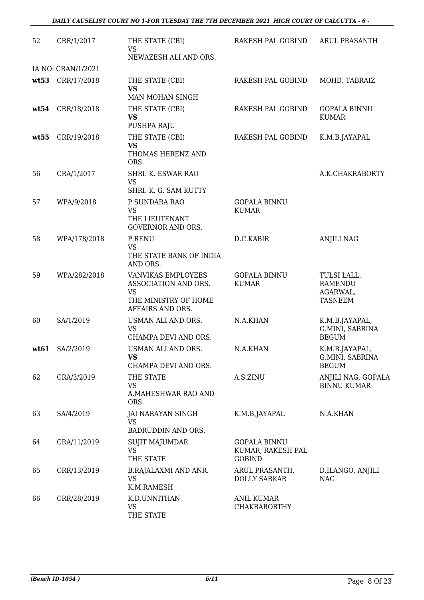| 52   | CRR/1/2017         | THE STATE (CBI)<br><b>VS</b>                                                                        | RAKESH PAL GOBIND                                         | <b>ARUL PRASANTH</b>                                        |
|------|--------------------|-----------------------------------------------------------------------------------------------------|-----------------------------------------------------------|-------------------------------------------------------------|
|      |                    | NEWAZESH ALI AND ORS.                                                                               |                                                           |                                                             |
|      | IA NO: CRAN/1/2021 |                                                                                                     |                                                           |                                                             |
|      | wt53 CRR/17/2018   | THE STATE (CBI)<br><b>VS</b>                                                                        | RAKESH PAL GOBIND                                         | MOHD. TABRAIZ                                               |
|      |                    | MAN MOHAN SINGH                                                                                     |                                                           |                                                             |
| wt54 | CRR/18/2018        | THE STATE (CBI)<br><b>VS</b><br>PUSHPA RAJU                                                         | RAKESH PAL GOBIND                                         | <b>GOPALA BINNU</b><br><b>KUMAR</b>                         |
| wt55 | CRR/19/2018        | THE STATE (CBI)<br><b>VS</b><br>THOMAS HERENZ AND<br>ORS.                                           | RAKESH PAL GOBIND                                         | K.M.B.JAYAPAL                                               |
| 56   | CRA/1/2017         | SHRI. K. ESWAR RAO<br>VS                                                                            |                                                           | A.K.CHAKRABORTY                                             |
|      |                    | SHRI. K. G. SAM KUTTY                                                                               |                                                           |                                                             |
| 57   | WPA/9/2018         | P.SUNDARA RAO<br><b>VS</b><br>THE LIEUTENANT<br><b>GOVERNOR AND ORS.</b>                            | <b>GOPALA BINNU</b><br><b>KUMAR</b>                       |                                                             |
| 58   | WPA/178/2018       | <b>P.RENU</b><br><b>VS</b><br>THE STATE BANK OF INDIA<br>AND ORS.                                   | D.C.KABIR                                                 | <b>ANJILI NAG</b>                                           |
| 59   | WPA/282/2018       | VANVIKAS EMPLOYEES<br>ASSOCIATION AND ORS.<br><b>VS</b><br>THE MINISTRY OF HOME<br>AFFAIRS AND ORS. | <b>GOPALA BINNU</b><br><b>KUMAR</b>                       | TULSI LALL,<br><b>RAMENDU</b><br>AGARWAL,<br><b>TASNEEM</b> |
| 60   | SA/1/2019          | USMAN ALI AND ORS.<br><b>VS</b><br>CHAMPA DEVI AND ORS.                                             | N.A.KHAN                                                  | K.M.B.JAYAPAL,<br>G.MINI, SABRINA<br><b>BEGUM</b>           |
| wt61 | SA/2/2019          | USMAN ALI AND ORS.<br><b>VS</b><br>CHAMPA DEVI AND ORS.                                             | N.A.KHAN                                                  | K.M.B.JAYAPAL,<br>G.MINI, SABRINA<br><b>BEGUM</b>           |
| 62   | CRA/3/2019         | THE STATE<br><b>VS</b><br>A.MAHESHWAR RAO AND<br>ORS.                                               | A.S.ZINU                                                  | ANJILI NAG, GOPALA<br><b>BINNU KUMAR</b>                    |
| 63   | SA/4/2019          | JAI NARAYAN SINGH<br><b>VS</b><br>BADRUDDIN AND ORS.                                                | K.M.B.JAYAPAL                                             | N.A.KHAN                                                    |
| 64   | CRA/11/2019        | SUJIT MAJUMDAR<br><b>VS</b><br>THE STATE                                                            | <b>GOPALA BINNU</b><br>KUMAR, RAKESH PAL<br><b>GOBIND</b> |                                                             |
| 65   | CRR/13/2019        | B.RAJALAXMI AND ANR.<br><b>VS</b><br>K.M.RAMESH                                                     | ARUL PRASANTH,<br>DOLLY SARKAR                            | D.ILANGO, ANJILI<br><b>NAG</b>                              |
| 66   | CRR/28/2019        | K.D.UNNITHAN<br><b>VS</b><br>THE STATE                                                              | <b>ANIL KUMAR</b><br><b>CHAKRABORTHY</b>                  |                                                             |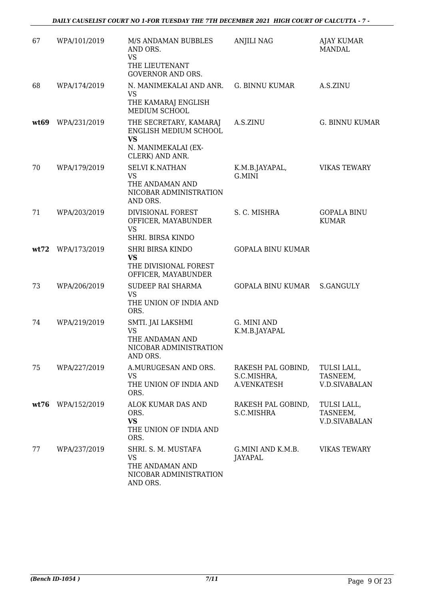| 67   | WPA/101/2019 | M/S ANDAMAN BUBBLES<br>AND ORS.<br><b>VS</b><br>THE LIEUTENANT<br><b>GOVERNOR AND ORS.</b>             | <b>ANJILI NAG</b>                                       | <b>AJAY KUMAR</b><br><b>MANDAL</b>              |
|------|--------------|--------------------------------------------------------------------------------------------------------|---------------------------------------------------------|-------------------------------------------------|
| 68   | WPA/174/2019 | N. MANIMEKALAI AND ANR.<br><b>VS</b><br>THE KAMARAJ ENGLISH<br>MEDIUM SCHOOL                           | <b>G. BINNU KUMAR</b>                                   | A.S.ZINU                                        |
| wt69 | WPA/231/2019 | THE SECRETARY, KAMARAJ<br>ENGLISH MEDIUM SCHOOL<br><b>VS</b><br>N. MANIMEKALAI (EX-<br>CLERK) AND ANR. | A.S.ZINU                                                | <b>G. BINNU KUMAR</b>                           |
| 70   | WPA/179/2019 | <b>SELVI K.NATHAN</b><br><b>VS</b><br>THE ANDAMAN AND<br>NICOBAR ADMINISTRATION<br>AND ORS.            | K.M.B.JAYAPAL,<br>G.MINI                                | <b>VIKAS TEWARY</b>                             |
| 71   | WPA/203/2019 | DIVISIONAL FOREST<br>OFFICER, MAYABUNDER<br><b>VS</b><br>SHRI. BIRSA KINDO                             | S. C. MISHRA                                            | <b>GOPALA BINU</b><br><b>KUMAR</b>              |
| wt72 | WPA/173/2019 | <b>SHRI BIRSA KINDO</b><br><b>VS</b><br>THE DIVISIONAL FOREST<br>OFFICER, MAYABUNDER                   | <b>GOPALA BINU KUMAR</b>                                |                                                 |
| 73   | WPA/206/2019 | SUDEEP RAI SHARMA<br><b>VS</b><br>THE UNION OF INDIA AND<br>ORS.                                       | GOPALA BINU KUMAR                                       | S.GANGULY                                       |
| 74   | WPA/219/2019 | SMTI. JAI LAKSHMI<br>VS<br>THE ANDAMAN AND<br>NICOBAR ADMINISTRATION<br>AND ORS.                       | G. MINI AND<br>K.M.B.JAYAPAL                            |                                                 |
| 75   | WPA/227/2019 | A.MURUGESAN AND ORS.<br><b>VS</b><br>THE UNION OF INDIA AND<br>ORS.                                    | RAKESH PAL GOBIND,<br>S.C.MISHRA,<br><b>A.VENKATESH</b> | TULSI LALL,<br>TASNEEM,<br><b>V.D.SIVABALAN</b> |
| wt76 | WPA/152/2019 | ALOK KUMAR DAS AND<br>ORS.<br><b>VS</b><br>THE UNION OF INDIA AND<br>ORS.                              | RAKESH PAL GOBIND,<br>S.C.MISHRA                        | TULSI LALL,<br>TASNEEM,<br><b>V.D.SIVABALAN</b> |
| 77   | WPA/237/2019 | SHRI. S. M. MUSTAFA<br><b>VS</b><br>THE ANDAMAN AND<br>NICOBAR ADMINISTRATION<br>AND ORS.              | G.MINI AND K.M.B.<br>JAYAPAL                            | <b>VIKAS TEWARY</b>                             |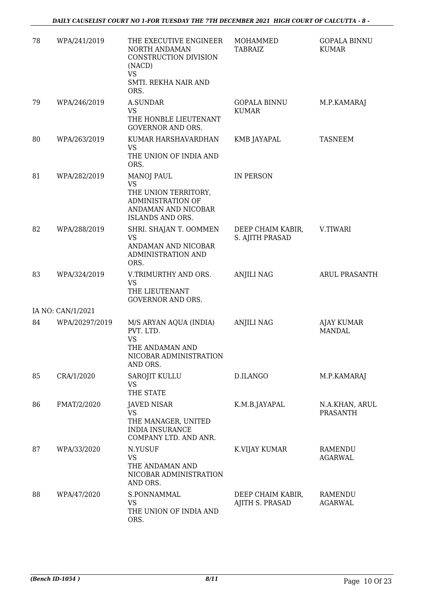| 78 | WPA/241/2019      | THE EXECUTIVE ENGINEER<br>NORTH ANDAMAN<br>CONSTRUCTION DIVISION<br>(NACD)<br><b>VS</b>                                       | MOHAMMED<br><b>TABRAIZ</b>           | <b>GOPALA BINNU</b><br><b>KUMAR</b> |
|----|-------------------|-------------------------------------------------------------------------------------------------------------------------------|--------------------------------------|-------------------------------------|
|    |                   | SMTI. REKHA NAIR AND<br>ORS.                                                                                                  |                                      |                                     |
| 79 | WPA/246/2019      | <b>A.SUNDAR</b><br><b>VS</b><br>THE HONBLE LIEUTENANT<br><b>GOVERNOR AND ORS.</b>                                             | <b>GOPALA BINNU</b><br><b>KUMAR</b>  | M.P.KAMARAJ                         |
| 80 | WPA/263/2019      | KUMAR HARSHAVARDHAN<br>VS<br>THE UNION OF INDIA AND<br>ORS.                                                                   | KMB JAYAPAL                          | <b>TASNEEM</b>                      |
| 81 | WPA/282/2019      | <b>MANOJ PAUL</b><br><b>VS</b><br>THE UNION TERRITORY,<br><b>ADMINISTRATION OF</b><br>ANDAMAN AND NICOBAR<br>ISLANDS AND ORS. | IN PERSON                            |                                     |
| 82 | WPA/288/2019      | SHRI. SHAJAN T. OOMMEN<br><b>VS</b><br>ANDAMAN AND NICOBAR<br>ADMINISTRATION AND<br>ORS.                                      | DEEP CHAIM KABIR,<br>S. AJITH PRASAD | V.TIWARI                            |
| 83 | WPA/324/2019      | V.TRIMURTHY AND ORS.<br><b>VS</b><br>THE LIEUTENANT<br><b>GOVERNOR AND ORS.</b>                                               | <b>ANJILI NAG</b>                    | <b>ARUL PRASANTH</b>                |
|    | IA NO: CAN/1/2021 |                                                                                                                               |                                      |                                     |
| 84 | WPA/20297/2019    | M/S ARYAN AQUA (INDIA)<br>PVT. LTD.<br><b>VS</b><br>THE ANDAMAN AND<br>NICOBAR ADMINISTRATION<br>AND ORS.                     | <b>ANJILI NAG</b>                    | <b>AJAY KUMAR</b><br><b>MANDAL</b>  |
| 85 | CRA/1/2020        | SAROJIT KULLU<br><b>VS</b><br>THE STATE                                                                                       | D.ILANGO                             | M.P.KAMARAJ                         |
| 86 | FMAT/2/2020       | JAVED NISAR<br><b>VS</b><br>THE MANAGER, UNITED<br><b>INDIA INSURANCE</b><br>COMPANY LTD. AND ANR.                            | K.M.B.JAYAPAL                        | N.A.KHAN, ARUL<br><b>PRASANTH</b>   |
| 87 | WPA/33/2020       | N.YUSUF<br><b>VS</b><br>THE ANDAMAN AND<br>NICOBAR ADMINISTRATION<br>AND ORS.                                                 | K.VIJAY KUMAR                        | RAMENDU<br><b>AGARWAL</b>           |
| 88 | WPA/47/2020       | S.PONNAMMAL<br><b>VS</b><br>THE UNION OF INDIA AND<br>ORS.                                                                    | DEEP CHAIM KABIR,<br>AJITH S. PRASAD | RAMENDU<br><b>AGARWAL</b>           |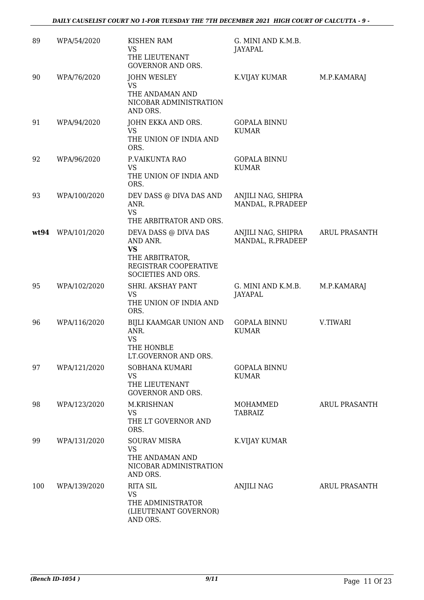| 89   | WPA/54/2020  | <b>KISHEN RAM</b><br><b>VS</b><br>THE LIEUTENANT<br><b>GOVERNOR AND ORS.</b>                                    | G. MINI AND K.M.B.<br>JAYAPAL           |                      |
|------|--------------|-----------------------------------------------------------------------------------------------------------------|-----------------------------------------|----------------------|
| 90   | WPA/76/2020  | <b>JOHN WESLEY</b><br>VS<br>THE ANDAMAN AND<br>NICOBAR ADMINISTRATION<br>AND ORS.                               | K.VIJAY KUMAR                           | M.P.KAMARAJ          |
| 91   | WPA/94/2020  | JOHN EKKA AND ORS.<br><b>VS</b><br>THE UNION OF INDIA AND<br>ORS.                                               | <b>GOPALA BINNU</b><br><b>KUMAR</b>     |                      |
| 92   | WPA/96/2020  | P.VAIKUNTA RAO<br><b>VS</b><br>THE UNION OF INDIA AND<br>ORS.                                                   | <b>GOPALA BINNU</b><br><b>KUMAR</b>     |                      |
| 93   | WPA/100/2020 | DEV DASS @ DIVA DAS AND<br>ANR.<br><b>VS</b><br>THE ARBITRATOR AND ORS.                                         | ANJILI NAG, SHIPRA<br>MANDAL, R.PRADEEP |                      |
| wt94 | WPA/101/2020 | DEVA DASS @ DIVA DAS<br>AND ANR.<br><b>VS</b><br>THE ARBITRATOR,<br>REGISTRAR COOPERATIVE<br>SOCIETIES AND ORS. | ANJILI NAG, SHIPRA<br>MANDAL, R.PRADEEP | ARUL PRASANTH        |
| 95   | WPA/102/2020 | SHRI. AKSHAY PANT<br><b>VS</b><br>THE UNION OF INDIA AND<br>ORS.                                                | G. MINI AND K.M.B.<br><b>JAYAPAL</b>    | M.P.KAMARAJ          |
| 96   | WPA/116/2020 | BIJLI KAAMGAR UNION AND<br>ANR.<br><b>VS</b><br>THE HONBLE<br>LT.GOVERNOR AND ORS.                              | <b>GOPALA BINNU</b><br><b>KUMAR</b>     | V.TIWARI             |
| 97   | WPA/121/2020 | SOBHANA KUMARI<br><b>VS</b><br>THE LIEUTENANT<br><b>GOVERNOR AND ORS.</b>                                       | <b>GOPALA BINNU</b><br><b>KUMAR</b>     |                      |
| 98   | WPA/123/2020 | M.KRISHNAN<br><b>VS</b><br>THE LT GOVERNOR AND<br>ORS.                                                          | MOHAMMED<br>TABRAIZ                     | <b>ARUL PRASANTH</b> |
| 99   | WPA/131/2020 | <b>SOURAV MISRA</b><br><b>VS</b><br>THE ANDAMAN AND<br>NICOBAR ADMINISTRATION<br>AND ORS.                       | K.VIJAY KUMAR                           |                      |
| 100  | WPA/139/2020 | <b>RITA SIL</b><br><b>VS</b><br>THE ADMINISTRATOR<br>(LIEUTENANT GOVERNOR)<br>AND ORS.                          | <b>ANJILI NAG</b>                       | <b>ARUL PRASANTH</b> |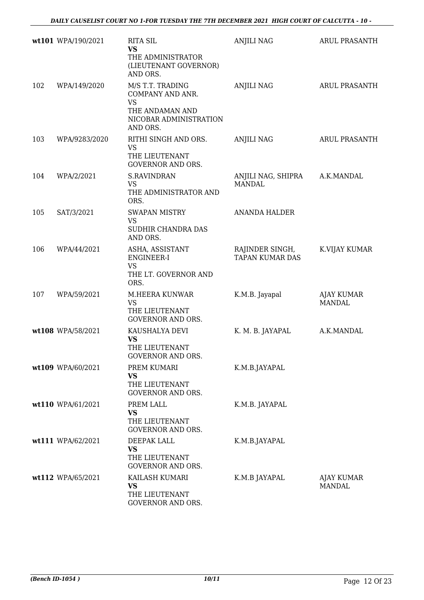|     | wt101 WPA/190/2021 | <b>RITA SIL</b><br><b>VS</b>                                                                               | <b>ANJILI NAG</b>                         | <b>ARUL PRASANTH</b>               |
|-----|--------------------|------------------------------------------------------------------------------------------------------------|-------------------------------------------|------------------------------------|
|     |                    | THE ADMINISTRATOR<br>(LIEUTENANT GOVERNOR)<br>AND ORS.                                                     |                                           |                                    |
| 102 | WPA/149/2020       | M/S T.T. TRADING<br>COMPANY AND ANR.<br><b>VS</b><br>THE ANDAMAN AND<br>NICOBAR ADMINISTRATION<br>AND ORS. | <b>ANJILI NAG</b>                         | <b>ARUL PRASANTH</b>               |
| 103 | WPA/9283/2020      | RITHI SINGH AND ORS.<br><b>VS</b><br>THE LIEUTENANT<br><b>GOVERNOR AND ORS.</b>                            | <b>ANJILI NAG</b>                         | <b>ARUL PRASANTH</b>               |
| 104 | WPA/2/2021         | <b>S.RAVINDRAN</b><br><b>VS</b><br>THE ADMINISTRATOR AND<br>ORS.                                           | ANJILI NAG, SHIPRA<br><b>MANDAL</b>       | A.K.MANDAL                         |
| 105 | SAT/3/2021         | <b>SWAPAN MISTRY</b><br><b>VS</b><br>SUDHIR CHANDRA DAS<br>AND ORS.                                        | <b>ANANDA HALDER</b>                      |                                    |
| 106 | WPA/44/2021        | ASHA, ASSISTANT<br>ENGINEER-I<br><b>VS</b><br>THE LT. GOVERNOR AND<br>ORS.                                 | RAJINDER SINGH,<br><b>TAPAN KUMAR DAS</b> | K.VIJAY KUMAR                      |
| 107 | WPA/59/2021        | M.HEERA KUNWAR<br><b>VS</b><br>THE LIEUTENANT<br><b>GOVERNOR AND ORS.</b>                                  | K.M.B. Jayapal                            | <b>AJAY KUMAR</b><br><b>MANDAL</b> |
|     | wt108 WPA/58/2021  | KAUSHALYA DEVI<br><b>VS</b><br>THE LIEUTENANT<br><b>GOVERNOR AND ORS.</b>                                  | K. M. B. JAYAPAL                          | A.K.MANDAL                         |
|     | wt109 WPA/60/2021  | PREM KUMARI<br>VS<br>THE LIEUTENANT<br><b>GOVERNOR AND ORS.</b>                                            | K.M.B.JAYAPAL                             |                                    |
|     | wt110 WPA/61/2021  | PREM LALL<br><b>VS</b><br>THE LIEUTENANT<br><b>GOVERNOR AND ORS.</b>                                       | K.M.B. JAYAPAL                            |                                    |
|     | wt111 WPA/62/2021  | DEEPAK LALL<br><b>VS</b><br>THE LIEUTENANT<br><b>GOVERNOR AND ORS.</b>                                     | K.M.B.JAYAPAL                             |                                    |
|     | wt112 WPA/65/2021  | KAILASH KUMARI<br><b>VS</b><br>THE LIEUTENANT<br>GOVERNOR AND ORS.                                         | K.M.B JAYAPAL                             | AJAY KUMAR<br><b>MANDAL</b>        |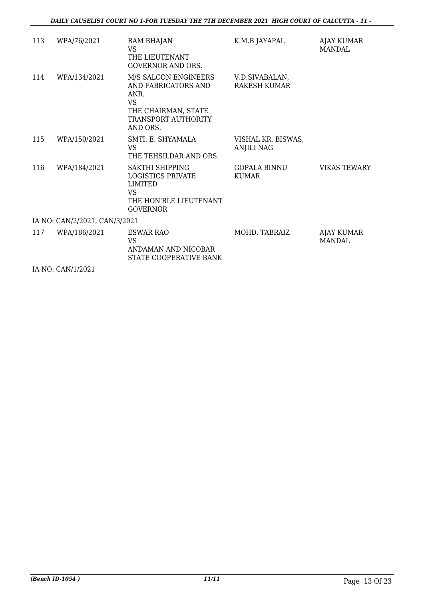| 113                           | WPA/76/2021  | RAM BHAJAN<br>VS<br>THE LIEUTENANT<br><b>GOVERNOR AND ORS.</b>                                                             | K.M.B JAYAPAL                           | AJAY KUMAR<br>MANDAL               |  |
|-------------------------------|--------------|----------------------------------------------------------------------------------------------------------------------------|-----------------------------------------|------------------------------------|--|
| 114                           | WPA/134/2021 | M/S SALCON ENGINEERS<br>AND FABRICATORS AND<br>ANR.<br><b>VS</b><br>THE CHAIRMAN, STATE<br>TRANSPORT AUTHORITY<br>AND ORS. | V.D.SIVABALAN,<br>RAKESH KUMAR          |                                    |  |
| 115                           | WPA/150/2021 | SMTI. E. SHYAMALA<br><b>VS</b><br>THE TEHSILDAR AND ORS.                                                                   | VISHAL KR. BISWAS,<br><b>ANJILI NAG</b> |                                    |  |
| 116                           | WPA/184/2021 | SAKTHI SHIPPING<br><b>LOGISTICS PRIVATE</b><br><b>LIMITED</b><br><b>VS</b><br>THE HON'BLE LIEUTENANT<br><b>GOVERNOR</b>    | <b>GOPALA BINNU</b><br><b>KUMAR</b>     | <b>VIKAS TEWARY</b>                |  |
| IA NO: CAN/2/2021, CAN/3/2021 |              |                                                                                                                            |                                         |                                    |  |
| 117                           | WPA/186/2021 | ESWAR RAO<br>VS<br>ANDAMAN AND NICOBAR<br>STATE COOPERATIVE BANK                                                           | MOHD. TABRAIZ                           | <b>AJAY KUMAR</b><br><b>MANDAL</b> |  |

IA NO: CAN/1/2021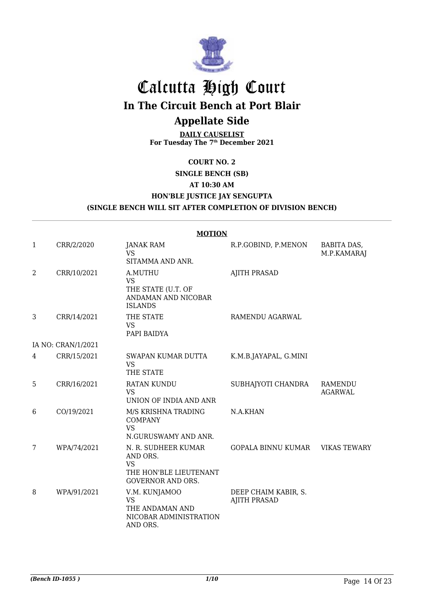

## Calcutta High Court

**In The Circuit Bench at Port Blair**

### **Appellate Side**

**DAILY CAUSELIST For Tuesday The 7th December 2021**

#### **COURT NO. 2**

#### **SINGLE BENCH (SB)**

#### **AT 10:30 AM**

#### **HON'BLE JUSTICE JAY SENGUPTA**

#### **(SINGLE BENCH WILL SIT AFTER COMPLETION OF DIVISION BENCH)**

|   | <b>MOTION</b>      |                                                                                                    |                                             |                                  |  |
|---|--------------------|----------------------------------------------------------------------------------------------------|---------------------------------------------|----------------------------------|--|
| 1 | CRR/2/2020         | <b>JANAK RAM</b><br><b>VS</b>                                                                      | R.P.GOBIND, P.MENON                         | BABITA DAS,<br>M.P.KAMARAJ       |  |
|   |                    | SITAMMA AND ANR.                                                                                   |                                             |                                  |  |
| 2 | CRR/10/2021        | A.MUTHU<br><b>VS</b><br>THE STATE (U.T. OF<br>ANDAMAN AND NICOBAR<br><b>ISLANDS</b>                | <b>AJITH PRASAD</b>                         |                                  |  |
| 3 | CRR/14/2021        | THE STATE<br><b>VS</b><br>PAPI BAIDYA                                                              | RAMENDU AGARWAL                             |                                  |  |
|   | IA NO: CRAN/1/2021 |                                                                                                    |                                             |                                  |  |
| 4 | CRR/15/2021        | SWAPAN KUMAR DUTTA<br><b>VS</b><br>THE STATE                                                       | K.M.B.JAYAPAL, G.MINI                       |                                  |  |
| 5 | CRR/16/2021        | <b>RATAN KUNDU</b><br><b>VS</b><br>UNION OF INDIA AND ANR                                          | SUBHAJYOTI CHANDRA                          | <b>RAMENDU</b><br><b>AGARWAL</b> |  |
| 6 | CO/19/2021         | M/S KRISHNA TRADING<br><b>COMPANY</b><br><b>VS</b><br>N.GURUSWAMY AND ANR.                         | N.A.KHAN                                    |                                  |  |
| 7 | WPA/74/2021        | N. R. SUDHEER KUMAR<br>AND ORS.<br><b>VS</b><br>THE HON'BLE LIEUTENANT<br><b>GOVERNOR AND ORS.</b> | <b>GOPALA BINNU KUMAR</b>                   | <b>VIKAS TEWARY</b>              |  |
| 8 | WPA/91/2021        | V.M. KUNJAMOO<br><b>VS</b><br>THE ANDAMAN AND<br>NICOBAR ADMINISTRATION<br>AND ORS.                | DEEP CHAIM KABIR, S.<br><b>AJITH PRASAD</b> |                                  |  |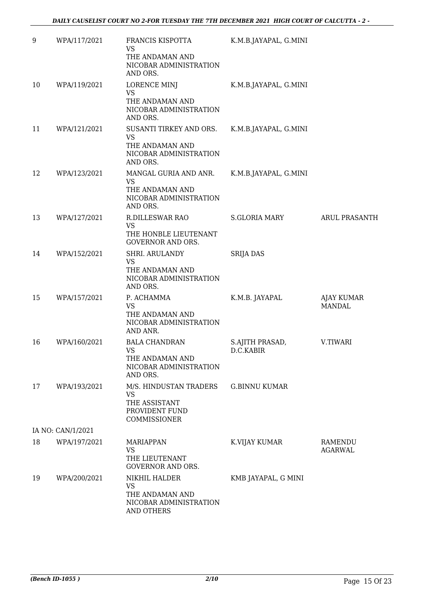| 9  | WPA/117/2021      | FRANCIS KISPOTTA<br>VS<br>THE ANDAMAN AND                                                  | K.M.B.JAYAPAL, G.MINI        |                                    |
|----|-------------------|--------------------------------------------------------------------------------------------|------------------------------|------------------------------------|
|    |                   | NICOBAR ADMINISTRATION<br>AND ORS.                                                         |                              |                                    |
| 10 | WPA/119/2021      | <b>LORENCE MINJ</b><br><b>VS</b>                                                           | K.M.B.JAYAPAL, G.MINI        |                                    |
|    |                   | THE ANDAMAN AND<br>NICOBAR ADMINISTRATION<br>AND ORS.                                      |                              |                                    |
| 11 | WPA/121/2021      | SUSANTI TIRKEY AND ORS.<br>VS<br>THE ANDAMAN AND<br>NICOBAR ADMINISTRATION                 | K.M.B.JAYAPAL, G.MINI        |                                    |
| 12 | WPA/123/2021      | AND ORS.<br>MANGAL GURIA AND ANR.                                                          | K.M.B.JAYAPAL, G.MINI        |                                    |
|    |                   | <b>VS</b><br>THE ANDAMAN AND<br>NICOBAR ADMINISTRATION<br>AND ORS.                         |                              |                                    |
| 13 | WPA/127/2021      | <b>R.DILLESWAR RAO</b><br>VS                                                               | <b>S.GLORIA MARY</b>         | <b>ARUL PRASANTH</b>               |
|    |                   | THE HONBLE LIEUTENANT<br><b>GOVERNOR AND ORS.</b>                                          |                              |                                    |
| 14 | WPA/152/2021      | SHRI. ARULANDY<br><b>VS</b>                                                                | <b>SRIJA DAS</b>             |                                    |
|    |                   | THE ANDAMAN AND<br>NICOBAR ADMINISTRATION<br>AND ORS.                                      |                              |                                    |
| 15 | WPA/157/2021      | P. ACHAMMA<br><b>VS</b><br>THE ANDAMAN AND<br>NICOBAR ADMINISTRATION<br>AND ANR.           | K.M.B. JAYAPAL               | <b>AJAY KUMAR</b><br><b>MANDAL</b> |
| 16 | WPA/160/2021      | <b>BALA CHANDRAN</b><br><b>VS</b><br>THE ANDAMAN AND<br>NICOBAR ADMINISTRATION<br>AND ORS. | S.AJITH PRASAD,<br>D.C.KABIR | V.TIWARI                           |
| 17 | WPA/193/2021      | M/S. HINDUSTAN TRADERS<br><b>VS</b>                                                        | <b>G.BINNU KUMAR</b>         |                                    |
|    |                   | THE ASSISTANT<br>PROVIDENT FUND<br><b>COMMISSIONER</b>                                     |                              |                                    |
|    | IA NO: CAN/1/2021 |                                                                                            |                              |                                    |
| 18 | WPA/197/2021      | <b>MARIAPPAN</b><br>VS<br>THE LIEUTENANT<br><b>GOVERNOR AND ORS.</b>                       | K.VIJAY KUMAR                | RAMENDU<br><b>AGARWAL</b>          |
| 19 | WPA/200/2021      | NIKHIL HALDER<br><b>VS</b><br>THE ANDAMAN AND<br>NICOBAR ADMINISTRATION<br>AND OTHERS      | KMB JAYAPAL, G MINI          |                                    |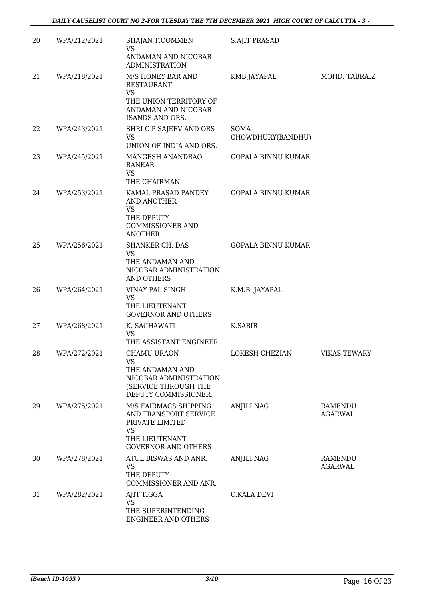| 20 | WPA/212/2021 | SHAJAN T.OOMMEN<br><b>VS</b><br>ANDAMAN AND NICOBAR                                                                   | <b>S.AJIT PRASAD</b>      |                           |
|----|--------------|-----------------------------------------------------------------------------------------------------------------------|---------------------------|---------------------------|
|    |              | <b>ADMINISTRATION</b>                                                                                                 |                           |                           |
| 21 | WPA/218/2021 | M/S HONEY BAR AND<br><b>RESTAURANT</b><br><b>VS</b>                                                                   | KMB JAYAPAL               | MOHD. TABRAIZ             |
|    |              | THE UNION TERRITORY OF<br>ANDAMAN AND NICOBAR<br>ISANDS AND ORS.                                                      |                           |                           |
| 22 | WPA/243/2021 | SHRI C P SAJEEV AND ORS<br>VS.<br>UNION OF INDIA AND ORS.                                                             | SOMA<br>CHOWDHURY(BANDHU) |                           |
| 23 | WPA/245/2021 | MANGESH ANANDRAO<br><b>BANKAR</b><br><b>VS</b>                                                                        | <b>GOPALA BINNU KUMAR</b> |                           |
|    |              | THE CHAIRMAN                                                                                                          |                           |                           |
| 24 | WPA/253/2021 | KAMAL PRASAD PANDEY<br>AND ANOTHER<br><b>VS</b><br>THE DEPUTY<br><b>COMMISSIONER AND</b><br><b>ANOTHER</b>            | <b>GOPALA BINNU KUMAR</b> |                           |
| 25 | WPA/256/2021 | <b>SHANKER CH. DAS</b><br>VS.<br>THE ANDAMAN AND<br>NICOBAR ADMINISTRATION<br>AND OTHERS                              | <b>GOPALA BINNU KUMAR</b> |                           |
| 26 | WPA/264/2021 | VINAY PAL SINGH<br>VS                                                                                                 | K.M.B. JAYAPAL            |                           |
|    |              | THE LIEUTENANT<br><b>GOVERNOR AND OTHERS</b>                                                                          |                           |                           |
| 27 | WPA/268/2021 | K. SACHAWATI<br><b>VS</b><br>THE ASSISTANT ENGINEER                                                                   | K.SABIR                   |                           |
| 28 | WPA/272/2021 | CHAMU URAON<br><b>VS</b><br>THE ANDAMAN AND<br>NICOBAR ADMINISTRATION<br>(SERVICE THROUGH THE<br>DEPUTY COMMISSIONER, | LOKESH CHEZIAN            | VIKAS TEWARY              |
| 29 | WPA/275/2021 | M/S FAIRMACS SHIPPING<br>AND TRANSPORT SERVICE<br>PRIVATE LIMITED<br>VS                                               | <b>ANJILI NAG</b>         | RAMENDU<br><b>AGARWAL</b> |
|    |              | THE LIEUTENANT<br><b>GOVERNOR AND OTHERS</b>                                                                          |                           |                           |
| 30 | WPA/278/2021 | ATUL BISWAS AND ANR.<br>VS<br>THE DEPUTY<br>COMMISSIONER AND ANR.                                                     | ANJILI NAG                | RAMENDU<br><b>AGARWAL</b> |
| 31 | WPA/282/2021 | AJIT TIGGA                                                                                                            | C.KALA DEVI               |                           |
|    |              | VS<br>THE SUPERINTENDING<br>ENGINEER AND OTHERS                                                                       |                           |                           |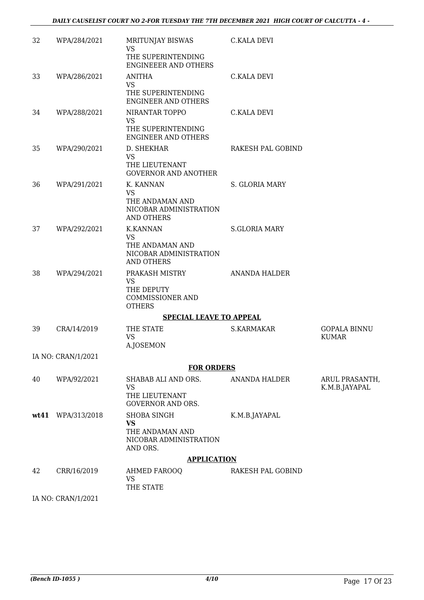| 32   | WPA/284/2021       | MRITUNJAY BISWAS<br><b>VS</b><br>THE SUPERINTENDING<br><b>ENGINEEER AND OTHERS</b>      | <b>C.KALA DEVI</b>   |                                     |
|------|--------------------|-----------------------------------------------------------------------------------------|----------------------|-------------------------------------|
| 33   | WPA/286/2021       | <b>ANITHA</b><br><b>VS</b><br>THE SUPERINTENDING<br><b>ENGINEER AND OTHERS</b>          | C.KALA DEVI          |                                     |
| 34   | WPA/288/2021       | NIRANTAR TOPPO<br><b>VS</b><br>THE SUPERINTENDING<br><b>ENGINEER AND OTHERS</b>         | <b>C.KALA DEVI</b>   |                                     |
| 35   | WPA/290/2021       | D. SHEKHAR<br><b>VS</b><br>THE LIEUTENANT<br><b>GOVERNOR AND ANOTHER</b>                | RAKESH PAL GOBIND    |                                     |
| 36   | WPA/291/2021       | K. KANNAN<br><b>VS</b><br>THE ANDAMAN AND<br>NICOBAR ADMINISTRATION<br>AND OTHERS       | S. GLORIA MARY       |                                     |
| 37   | WPA/292/2021       | <b>K.KANNAN</b><br><b>VS</b><br>THE ANDAMAN AND<br>NICOBAR ADMINISTRATION<br>AND OTHERS | <b>S.GLORIA MARY</b> |                                     |
| 38   | WPA/294/2021       | PRAKASH MISTRY<br><b>VS</b><br>THE DEPUTY<br><b>COMMISSIONER AND</b><br><b>OTHERS</b>   | ANANDA HALDER        |                                     |
|      |                    | <b>SPECIAL LEAVE TO APPEAL</b>                                                          |                      |                                     |
| 39   | CRA/14/2019        | THE STATE<br><b>VS</b><br>A.JOSEMON                                                     | S.KARMAKAR           | <b>GOPALA BINNU</b><br><b>KUMAR</b> |
|      | IA NO: CRAN/1/2021 |                                                                                         |                      |                                     |
|      |                    | <b>FOR ORDERS</b>                                                                       |                      |                                     |
| 40   | WPA/92/2021        | SHABAB ALI AND ORS.<br>VS<br>THE LIEUTENANT<br><b>GOVERNOR AND ORS.</b>                 | ANANDA HALDER        | ARUL PRASANTH,<br>K.M.B.JAYAPAL     |
| wt41 | WPA/313/2018       | <b>SHOBA SINGH</b><br>VS<br>THE ANDAMAN AND<br>NICOBAR ADMINISTRATION<br>AND ORS.       | K.M.B.JAYAPAL        |                                     |
|      |                    | <b>APPLICATION</b>                                                                      |                      |                                     |
| 42   | CRR/16/2019        | AHMED FAROOQ<br>VS<br>THE STATE                                                         | RAKESH PAL GOBIND    |                                     |
|      | IA NO: CRAN/1/2021 |                                                                                         |                      |                                     |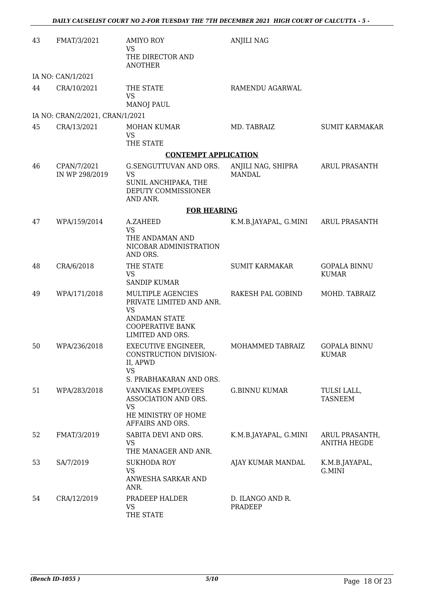| 43 | FMAT/3/2021                     | <b>AMIYO ROY</b><br><b>VS</b><br>THE DIRECTOR AND                                                                                        | <b>ANJILI NAG</b>                   |                                       |
|----|---------------------------------|------------------------------------------------------------------------------------------------------------------------------------------|-------------------------------------|---------------------------------------|
|    | IA NO: CAN/1/2021               | <b>ANOTHER</b>                                                                                                                           |                                     |                                       |
| 44 | CRA/10/2021                     | THE STATE<br><b>VS</b><br><b>MANOJ PAUL</b>                                                                                              | RAMENDU AGARWAL                     |                                       |
|    | IA NO: CRAN/2/2021, CRAN/1/2021 |                                                                                                                                          |                                     |                                       |
| 45 | CRA/13/2021                     | <b>MOHAN KUMAR</b><br><b>VS</b><br>THE STATE                                                                                             | MD. TABRAIZ                         | <b>SUMIT KARMAKAR</b>                 |
|    |                                 | <b>CONTEMPT APPLICATION</b>                                                                                                              |                                     |                                       |
| 46 | CPAN/7/2021<br>IN WP 298/2019   | G.SENGUTTUVAN AND ORS.<br><b>VS</b><br>SUNIL ANCHIPAKA, THE<br>DEPUTY COMMISSIONER<br>AND ANR.                                           | ANJILI NAG, SHIPRA<br><b>MANDAL</b> | ARUL PRASANTH                         |
|    |                                 | <b>FOR HEARING</b>                                                                                                                       |                                     |                                       |
| 47 | WPA/159/2014                    | A.ZAHEED                                                                                                                                 | K.M.B.JAYAPAL, G.MINI               | <b>ARUL PRASANTH</b>                  |
|    |                                 | <b>VS</b><br>THE ANDAMAN AND<br>NICOBAR ADMINISTRATION<br>AND ORS.                                                                       |                                     |                                       |
| 48 | CRA/6/2018                      | THE STATE<br>VS<br><b>SANDIP KUMAR</b>                                                                                                   | <b>SUMIT KARMAKAR</b>               | <b>GOPALA BINNU</b><br><b>KUMAR</b>   |
| 49 | WPA/171/2018                    | <b>MULTIPLE AGENCIES</b><br>PRIVATE LIMITED AND ANR.<br><b>VS</b><br><b>ANDAMAN STATE</b><br><b>COOPERATIVE BANK</b><br>LIMITED AND ORS. | RAKESH PAL GOBIND                   | MOHD. TABRAIZ                         |
| 50 | WPA/236/2018                    | <b>EXECUTIVE ENGINEER,</b><br>CONSTRUCTION DIVISION-<br>II, APWD<br><b>VS</b><br>S. PRABHAKARAN AND ORS.                                 | MOHAMMED TABRAIZ                    | <b>GOPALA BINNU</b><br><b>KUMAR</b>   |
| 51 | WPA/283/2018                    | VANVIKAS EMPLOYEES<br>ASSOCIATION AND ORS.<br><b>VS</b><br>HE MINISTRY OF HOME<br>AFFAIRS AND ORS.                                       | <b>G.BINNU KUMAR</b>                | TULSI LALL,<br><b>TASNEEM</b>         |
| 52 | FMAT/3/2019                     | SABITA DEVI AND ORS.<br><b>VS</b><br>THE MANAGER AND ANR.                                                                                | K.M.B.JAYAPAL, G.MINI               | ARUL PRASANTH,<br><b>ANITHA HEGDE</b> |
| 53 | SA/7/2019                       | SUKHODA ROY<br><b>VS</b><br>ANWESHA SARKAR AND<br>ANR.                                                                                   | AJAY KUMAR MANDAL                   | K.M.B.JAYAPAL,<br>G.MINI              |
| 54 | CRA/12/2019                     | PRADEEP HALDER<br><b>VS</b><br>THE STATE                                                                                                 | D. ILANGO AND R.<br>PRADEEP         |                                       |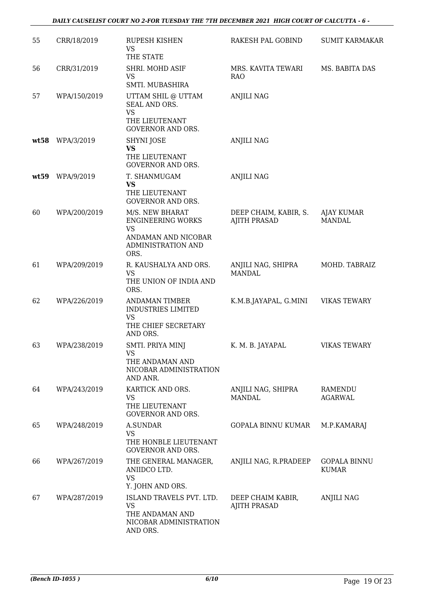#### *DAILY CAUSELIST COURT NO 2-FOR TUESDAY THE 7TH DECEMBER 2021 HIGH COURT OF CALCUTTA - 6 -*

| 55   | CRR/18/2019  | <b>RUPESH KISHEN</b><br>VS<br>THE STATE                                                                              | RAKESH PAL GOBIND                            | <b>SUMIT KARMAKAR</b>               |
|------|--------------|----------------------------------------------------------------------------------------------------------------------|----------------------------------------------|-------------------------------------|
| 56   | CRR/31/2019  | SHRI. MOHD ASIF<br><b>VS</b><br>SMTI. MUBASHIRA                                                                      | MRS. KAVITA TEWARI<br><b>RAO</b>             | MS. BABITA DAS                      |
| 57   | WPA/150/2019 | UTTAM SHIL @ UTTAM<br>SEAL AND ORS.<br><b>VS</b><br>THE LIEUTENANT<br><b>GOVERNOR AND ORS.</b>                       | <b>ANJILI NAG</b>                            |                                     |
| wt58 | WPA/3/2019   | SHYNI JOSE<br><b>VS</b><br>THE LIEUTENANT<br><b>GOVERNOR AND ORS.</b>                                                | <b>ANJILI NAG</b>                            |                                     |
| wt59 | WPA/9/2019   | T. SHANMUGAM<br><b>VS</b><br>THE LIEUTENANT<br><b>GOVERNOR AND ORS.</b>                                              | <b>ANJILI NAG</b>                            |                                     |
| 60   | WPA/200/2019 | M/S. NEW BHARAT<br><b>ENGINEERING WORKS</b><br><b>VS</b><br>ANDAMAN AND NICOBAR<br><b>ADMINISTRATION AND</b><br>ORS. | DEEP CHAIM, KABIR, S.<br><b>AJITH PRASAD</b> | <b>AJAY KUMAR</b><br><b>MANDAL</b>  |
| 61   | WPA/209/2019 | R. KAUSHALYA AND ORS.<br><b>VS</b><br>THE UNION OF INDIA AND<br>ORS.                                                 | ANJILI NAG, SHIPRA<br><b>MANDAL</b>          | MOHD. TABRAIZ                       |
| 62   | WPA/226/2019 | <b>ANDAMAN TIMBER</b><br><b>INDUSTRIES LIMITED</b><br>VS<br>THE CHIEF SECRETARY<br>AND ORS.                          | K.M.B.JAYAPAL, G.MINI                        | <b>VIKAS TEWARY</b>                 |
| 63   | WPA/238/2019 | SMTI. PRIYA MINJ<br>VS<br>THE ANDAMAN AND<br>NICOBAR ADMINISTRATION<br>AND ANR.                                      | K. M. B. JAYAPAL                             | <b>VIKAS TEWARY</b>                 |
| 64   | WPA/243/2019 | KARTICK AND ORS.<br><b>VS</b><br>THE LIEUTENANT<br><b>GOVERNOR AND ORS.</b>                                          | ANJILI NAG, SHIPRA<br><b>MANDAL</b>          | RAMENDU<br><b>AGARWAL</b>           |
| 65   | WPA/248/2019 | <b>A.SUNDAR</b><br><b>VS</b><br>THE HONBLE LIEUTENANT<br><b>GOVERNOR AND ORS.</b>                                    | <b>GOPALA BINNU KUMAR</b>                    | M.P.KAMARAJ                         |
| 66   | WPA/267/2019 | THE GENERAL MANAGER,<br>ANIIDCO LTD.<br><b>VS</b><br>Y. JOHN AND ORS.                                                | ANJILI NAG, R.PRADEEP                        | <b>GOPALA BINNU</b><br><b>KUMAR</b> |
| 67   | WPA/287/2019 | ISLAND TRAVELS PVT. LTD.<br><b>VS</b><br>THE ANDAMAN AND<br>NICOBAR ADMINISTRATION<br>AND ORS.                       | DEEP CHAIM KABIR,<br><b>AJITH PRASAD</b>     | <b>ANJILI NAG</b>                   |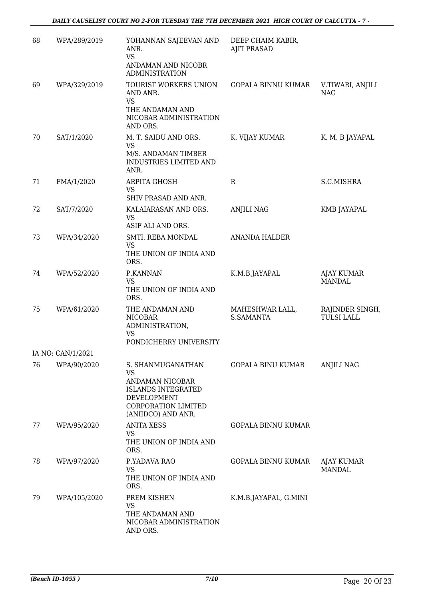| 68 | WPA/289/2019      | YOHANNAN SAJEEVAN AND<br>ANR.<br><b>VS</b><br>ANDAMAN AND NICOBR<br><b>ADMINISTRATION</b>                                                  | DEEP CHAIM KABIR,<br><b>AJIT PRASAD</b> |                                      |
|----|-------------------|--------------------------------------------------------------------------------------------------------------------------------------------|-----------------------------------------|--------------------------------------|
| 69 | WPA/329/2019      | TOURIST WORKERS UNION<br>AND ANR.<br><b>VS</b><br>THE ANDAMAN AND<br>NICOBAR ADMINISTRATION<br>AND ORS.                                    | GOPALA BINNU KUMAR                      | V.TIWARI, ANJILI<br><b>NAG</b>       |
| 70 | SAT/1/2020        | M. T. SAIDU AND ORS.<br><b>VS</b><br>M/S. ANDAMAN TIMBER<br>INDUSTRIES LIMITED AND<br>ANR.                                                 | K. VIJAY KUMAR                          | K. M. B JAYAPAL                      |
| 71 | FMA/1/2020        | <b>ARPITA GHOSH</b><br><b>VS</b><br>SHIV PRASAD AND ANR.                                                                                   | $\mathbf R$                             | S.C.MISHRA                           |
| 72 | SAT/7/2020        | KALAIARASAN AND ORS.<br><b>VS</b><br>ASIF ALI AND ORS.                                                                                     | <b>ANJILI NAG</b>                       | KMB JAYAPAL                          |
| 73 | WPA/34/2020       | SMTI. REBA MONDAL<br>VS<br>THE UNION OF INDIA AND<br>ORS.                                                                                  | <b>ANANDA HALDER</b>                    |                                      |
| 74 | WPA/52/2020       | P.KANNAN<br><b>VS</b><br>THE UNION OF INDIA AND<br>ORS.                                                                                    | K.M.B.JAYAPAL                           | <b>AJAY KUMAR</b><br><b>MANDAL</b>   |
| 75 | WPA/61/2020       | THE ANDAMAN AND<br><b>NICOBAR</b><br>ADMINISTRATION,<br><b>VS</b><br>PONDICHERRY UNIVERSITY                                                | MAHESHWAR LALL,<br><b>S.SAMANTA</b>     | RAJINDER SINGH,<br><b>TULSI LALL</b> |
|    | IA NO: CAN/1/2021 |                                                                                                                                            |                                         |                                      |
| 76 | WPA/90/2020       | S. SHANMUGANATHAN<br><b>VS</b><br>ANDAMAN NICOBAR<br><b>ISLANDS INTEGRATED</b><br>DEVELOPMENT<br>CORPORATION LIMITED<br>(ANIIDCO) AND ANR. | <b>GOPALA BINU KUMAR</b>                | <b>ANJILI NAG</b>                    |
| 77 | WPA/95/2020       | <b>ANITA XESS</b><br><b>VS</b><br>THE UNION OF INDIA AND<br>ORS.                                                                           | <b>GOPALA BINNU KUMAR</b>               |                                      |
| 78 | WPA/97/2020       | P.YADAVA RAO<br>VS<br>THE UNION OF INDIA AND<br>ORS.                                                                                       | GOPALA BINNU KUMAR                      | AJAY KUMAR<br><b>MANDAL</b>          |
| 79 | WPA/105/2020      | PREM KISHEN<br><b>VS</b><br>THE ANDAMAN AND<br>NICOBAR ADMINISTRATION<br>AND ORS.                                                          | K.M.B.JAYAPAL, G.MINI                   |                                      |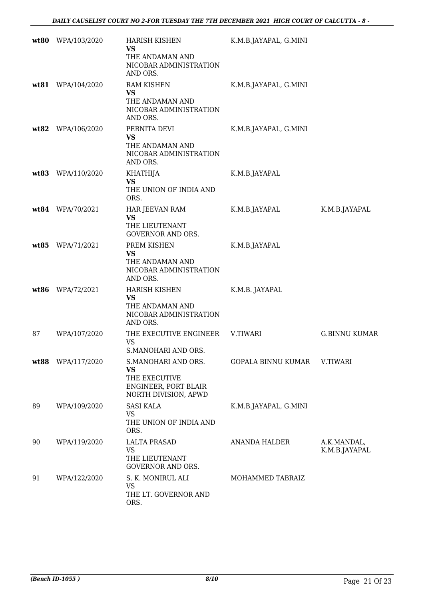|      | wt80 WPA/103/2020 | <b>HARISH KISHEN</b><br><b>VS</b><br>THE ANDAMAN AND<br>NICOBAR ADMINISTRATION<br>AND ORS.        | K.M.B.JAYAPAL, G.MINI |                              |
|------|-------------------|---------------------------------------------------------------------------------------------------|-----------------------|------------------------------|
|      | wt81 WPA/104/2020 | <b>RAM KISHEN</b><br><b>VS</b><br>THE ANDAMAN AND<br>NICOBAR ADMINISTRATION<br>AND ORS.           | K.M.B.JAYAPAL, G.MINI |                              |
| wt82 | WPA/106/2020      | PERNITA DEVI<br><b>VS</b><br>THE ANDAMAN AND<br>NICOBAR ADMINISTRATION<br>AND ORS.                | K.M.B.JAYAPAL, G.MINI |                              |
| wt83 | WPA/110/2020      | <b>KHATHIJA</b><br><b>VS</b><br>THE UNION OF INDIA AND<br>ORS.                                    | K.M.B.JAYAPAL         |                              |
|      | wt84 WPA/70/2021  | <b>HAR JEEVAN RAM</b><br><b>VS</b><br>THE LIEUTENANT<br><b>GOVERNOR AND ORS.</b>                  | K.M.B.JAYAPAL         | K.M.B.JAYAPAL                |
|      | wt85 WPA/71/2021  | PREM KISHEN<br><b>VS</b><br>THE ANDAMAN AND<br>NICOBAR ADMINISTRATION<br>AND ORS.                 | K.M.B.JAYAPAL         |                              |
|      | wt86 WPA/72/2021  | HARISH KISHEN<br><b>VS</b><br>THE ANDAMAN AND<br>NICOBAR ADMINISTRATION<br>AND ORS.               | K.M.B. JAYAPAL        |                              |
| 87   | WPA/107/2020      | THE EXECUTIVE ENGINEER<br><b>VS</b><br>S.MANOHARI AND ORS.                                        | <b>V.TIWARI</b>       | <b>G.BINNU KUMAR</b>         |
| wt88 | WPA/117/2020      | S.MANOHARI AND ORS.<br><b>VS</b><br>THE EXECUTIVE<br>ENGINEER, PORT BLAIR<br>NORTH DIVISION, APWD | GOPALA BINNU KUMAR    | V.TIWARI                     |
| 89   | WPA/109/2020      | <b>SASI KALA</b><br>VS<br>THE UNION OF INDIA AND<br>ORS.                                          | K.M.B.JAYAPAL, G.MINI |                              |
| 90   | WPA/119/2020      | <b>LALTA PRASAD</b><br>VS<br>THE LIEUTENANT<br><b>GOVERNOR AND ORS.</b>                           | <b>ANANDA HALDER</b>  | A.K.MANDAL,<br>K.M.B.JAYAPAL |
| 91   | WPA/122/2020      | S. K. MONIRUL ALI<br>VS<br>THE LT. GOVERNOR AND<br>ORS.                                           | MOHAMMED TABRAIZ      |                              |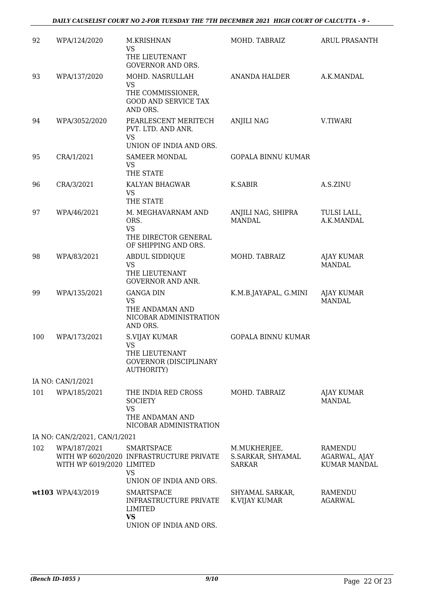| 92  | WPA/124/2020                              | M.KRISHNAN<br>VS<br>THE LIEUTENANT                                                                           | MOHD. TABRAIZ                                      | <b>ARUL PRASANTH</b>                            |
|-----|-------------------------------------------|--------------------------------------------------------------------------------------------------------------|----------------------------------------------------|-------------------------------------------------|
|     |                                           | <b>GOVERNOR AND ORS.</b>                                                                                     |                                                    |                                                 |
| 93  | WPA/137/2020                              | MOHD. NASRULLAH<br><b>VS</b><br>THE COMMISSIONER,<br><b>GOOD AND SERVICE TAX</b>                             | ANANDA HALDER                                      | A.K.MANDAL                                      |
|     |                                           | AND ORS.                                                                                                     |                                                    |                                                 |
| 94  | WPA/3052/2020                             | PEARLESCENT MERITECH<br>PVT. LTD. AND ANR.<br><b>VS</b><br>UNION OF INDIA AND ORS.                           | <b>ANJILI NAG</b>                                  | V.TIWARI                                        |
| 95  | CRA/1/2021                                | <b>SAMEER MONDAL</b>                                                                                         | <b>GOPALA BINNU KUMAR</b>                          |                                                 |
|     |                                           | VS<br>THE STATE                                                                                              |                                                    |                                                 |
| 96  | CRA/3/2021                                | KALYAN BHAGWAR<br>VS<br>THE STATE                                                                            | K.SABIR                                            | A.S.ZINU                                        |
| 97  | WPA/46/2021                               | M. MEGHAVARNAM AND<br>ORS.<br><b>VS</b><br>THE DIRECTOR GENERAL<br>OF SHIPPING AND ORS.                      | ANJILI NAG, SHIPRA<br><b>MANDAL</b>                | TULSI LALL,<br>A.K.MANDAL                       |
| 98  | WPA/83/2021                               | <b>ABDUL SIDDIQUE</b><br><b>VS</b><br>THE LIEUTENANT<br><b>GOVERNOR AND ANR.</b>                             | MOHD. TABRAIZ                                      | AJAY KUMAR<br><b>MANDAL</b>                     |
| 99  | WPA/135/2021                              | <b>GANGA DIN</b><br>VS<br>THE ANDAMAN AND<br>NICOBAR ADMINISTRATION<br>AND ORS.                              | K.M.B.JAYAPAL, G.MINI                              | AJAY KUMAR<br><b>MANDAL</b>                     |
| 100 | WPA/173/2021                              | S.VIJAY KUMAR<br><b>VS</b><br>THE LIEUTENANT<br><b>GOVERNOR (DISCIPLINARY</b><br><b>AUTHORITY)</b>           | <b>GOPALA BINNU KUMAR</b>                          |                                                 |
|     | IA NO: CAN/1/2021                         |                                                                                                              |                                                    |                                                 |
| 101 | WPA/185/2021                              | THE INDIA RED CROSS<br><b>SOCIETY</b><br>VS<br>THE ANDAMAN AND<br>NICOBAR ADMINISTRATION                     | MOHD. TABRAIZ                                      | AJAY KUMAR<br><b>MANDAL</b>                     |
|     | IA NO: CAN/2/2021, CAN/1/2021             |                                                                                                              |                                                    |                                                 |
| 102 | WPA/187/2021<br>WITH WP 6019/2020 LIMITED | SMARTSPACE<br>WITH WP 6020/2020 INFRASTRUCTURE PRIVATE<br>VS<br>UNION OF INDIA AND ORS.                      | M.MUKHERJEE,<br>S.SARKAR, SHYAMAL<br><b>SARKAR</b> | RAMENDU<br>AGARWAL, AJAY<br><b>KUMAR MANDAL</b> |
|     | wt103 WPA/43/2019                         | <b>SMARTSPACE</b><br><b>INFRASTRUCTURE PRIVATE</b><br><b>LIMITED</b><br><b>VS</b><br>UNION OF INDIA AND ORS. | SHYAMAL SARKAR,<br><b>K.VIJAY KUMAR</b>            | RAMENDU<br><b>AGARWAL</b>                       |